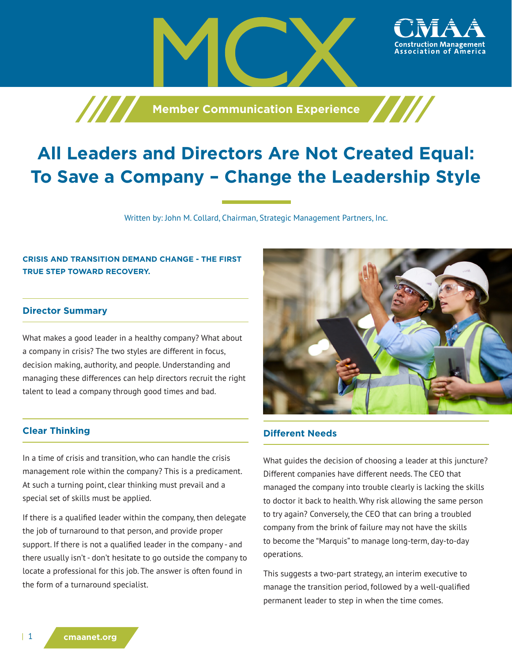

# **All Leaders and Directors Are Not Created Equal: To Save a Company – Change the Leadership Style**

Written by: John M. Collard, Chairman, Strategic Management Partners, Inc.

# **CRISIS AND TRANSITION DEMAND CHANGE - THE FIRST TRUE STEP TOWARD RECOVERY.**

#### **Director Summary**

What makes a good leader in a healthy company? What about a company in crisis? The two styles are different in focus, decision making, authority, and people. Understanding and managing these differences can help directors recruit the right talent to lead a company through good times and bad.

## **Clear Thinking**

In a time of crisis and transition, who can handle the crisis management role within the company? This is a predicament. At such a turning point, clear thinking must prevail and a special set of skills must be applied.

If there is a qualified leader within the company, then delegate the job of turnaround to that person, and provide proper support. If there is not a qualified leader in the company - and there usually isn't - don't hesitate to go outside the company to locate a professional for this job. The answer is often found in the form of a turnaround specialist.



ssociation of America

#### **Different Needs**

What guides the decision of choosing a leader at this juncture? Different companies have different needs. The CEO that managed the company into trouble clearly is lacking the skills to doctor it back to health. Why risk allowing the same person to try again? Conversely, the CEO that can bring a troubled company from the brink of failure may not have the skills to become the "Marquis" to manage long-term, day-to-day operations.

This suggests a two-part strategy, an interim executive to manage the transition period, followed by a well-qualified permanent leader to step in when the time comes.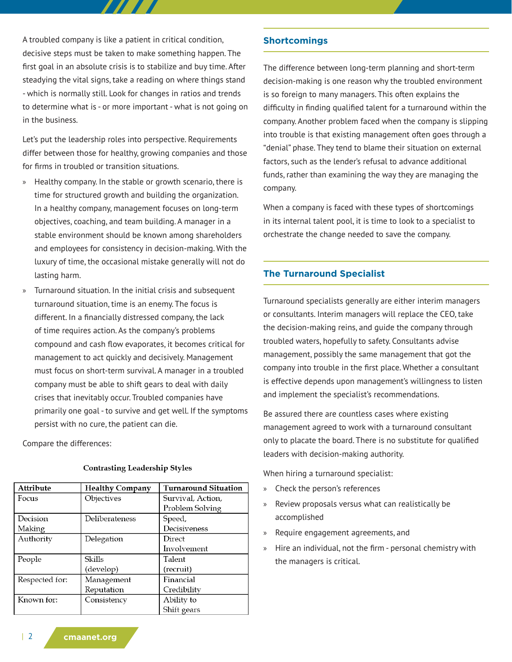A troubled company is like a patient in critical condition, decisive steps must be taken to make something happen. The first goal in an absolute crisis is to stabilize and buy time. After steadying the vital signs, take a reading on where things stand - which is normally still. Look for changes in ratios and trends to determine what is - or more important - what is not going on in the business.

Let's put the leadership roles into perspective. Requirements differ between those for healthy, growing companies and those for firms in troubled or transition situations.

- » Healthy company. In the stable or growth scenario, there is time for structured growth and building the organization. In a healthy company, management focuses on long-term objectives, coaching, and team building. A manager in a stable environment should be known among shareholders and employees for consistency in decision-making. With the luxury of time, the occasional mistake generally will not do lasting harm.
- » Turnaround situation. In the initial crisis and subsequent turnaround situation, time is an enemy. The focus is different. In a financially distressed company, the lack of time requires action. As the company's problems compound and cash flow evaporates, it becomes critical for management to act quickly and decisively. Management must focus on short-term survival. A manager in a troubled company must be able to shift gears to deal with daily crises that inevitably occur. Troubled companies have primarily one goal - to survive and get well. If the symptoms persist with no cure, the patient can die.

Compare the differences:

| Attribute      | <b>Healthy Company</b> | <b>Turnaround Situation</b> |
|----------------|------------------------|-----------------------------|
| Focus          | Objectives             | Survival, Action,           |
|                |                        | Problem Solving             |
| Decision       | Deliberateness         | Speed,                      |
| Making         |                        | Decisiveness                |
| Authority      | Delegation             | Direct                      |
|                |                        | Involvement                 |
| People         | <b>Skills</b>          | Talent                      |
|                | (develop)              | (recruit)                   |
| Respected for: | Management             | Financial                   |
|                | Reputation             | Credibility                 |
| Known for:     | Consistency            | Ability to                  |
|                |                        | Shift gears                 |

#### **Contrasting Leadership Styles**

## **Shortcomings**

The difference between long-term planning and short-term decision-making is one reason why the troubled environment is so foreign to many managers. This often explains the difficulty in finding qualified talent for a turnaround within the company. Another problem faced when the company is slipping into trouble is that existing management often goes through a "denial" phase. They tend to blame their situation on external factors, such as the lender's refusal to advance additional funds, rather than examining the way they are managing the company.

When a company is faced with these types of shortcomings in its internal talent pool, it is time to look to a specialist to orchestrate the change needed to save the company.

## **The Turnaround Specialist**

Turnaround specialists generally are either interim managers or consultants. Interim managers will replace the CEO, take the decision-making reins, and guide the company through troubled waters, hopefully to safety. Consultants advise management, possibly the same management that got the company into trouble in the first place. Whether a consultant is effective depends upon management's willingness to listen and implement the specialist's recommendations.

Be assured there are countless cases where existing management agreed to work with a turnaround consultant only to placate the board. There is no substitute for qualified leaders with decision-making authority.

When hiring a turnaround specialist:

- » Check the person's references
- » Review proposals versus what can realistically be accomplished
- » Require engagement agreements, and
- » Hire an individual, not the firm personal chemistry with the managers is critical.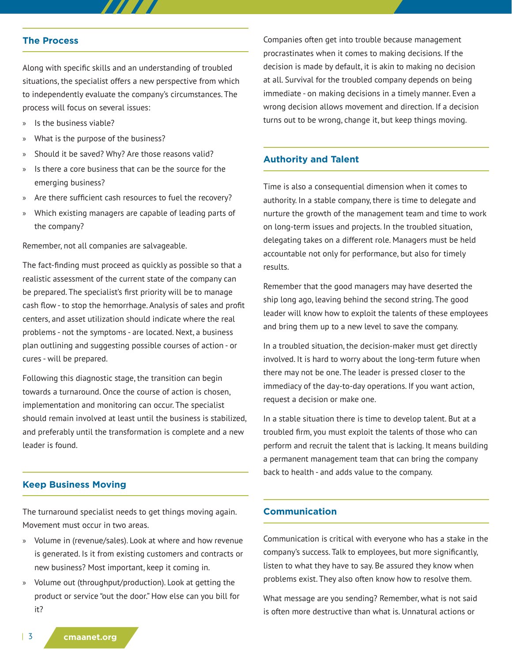#### **The Process**

Along with specific skills and an understanding of troubled situations, the specialist offers a new perspective from which to independently evaluate the company's circumstances. The process will focus on several issues:

777 T

- » Is the business viable?
- What is the purpose of the business?
- » Should it be saved? Why? Are those reasons valid?
- » Is there a core business that can be the source for the emerging business?
- » Are there sufficient cash resources to fuel the recovery?
- » Which existing managers are capable of leading parts of the company?

Remember, not all companies are salvageable.

The fact-finding must proceed as quickly as possible so that a realistic assessment of the current state of the company can be prepared. The specialist's first priority will be to manage cash flow - to stop the hemorrhage. Analysis of sales and profit centers, and asset utilization should indicate where the real problems - not the symptoms - are located. Next, a business plan outlining and suggesting possible courses of action - or cures - will be prepared.

Following this diagnostic stage, the transition can begin towards a turnaround. Once the course of action is chosen, implementation and monitoring can occur. The specialist should remain involved at least until the business is stabilized, and preferably until the transformation is complete and a new leader is found.

#### **Keep Business Moving**

The turnaround specialist needs to get things moving again. Movement must occur in two areas.

- » Volume in (revenue/sales). Look at where and how revenue is generated. Is it from existing customers and contracts or new business? Most important, keep it coming in.
- » Volume out (throughput/production). Look at getting the product or service "out the door." How else can you bill for it?

Companies often get into trouble because management procrastinates when it comes to making decisions. If the decision is made by default, it is akin to making no decision at all. Survival for the troubled company depends on being immediate - on making decisions in a timely manner. Even a wrong decision allows movement and direction. If a decision turns out to be wrong, change it, but keep things moving.

#### **Authority and Talent**

Time is also a consequential dimension when it comes to authority. In a stable company, there is time to delegate and nurture the growth of the management team and time to work on long-term issues and projects. In the troubled situation, delegating takes on a different role. Managers must be held accountable not only for performance, but also for timely results.

Remember that the good managers may have deserted the ship long ago, leaving behind the second string. The good leader will know how to exploit the talents of these employees and bring them up to a new level to save the company.

In a troubled situation, the decision-maker must get directly involved. It is hard to worry about the long-term future when there may not be one. The leader is pressed closer to the immediacy of the day-to-day operations. If you want action, request a decision or make one.

In a stable situation there is time to develop talent. But at a troubled firm, you must exploit the talents of those who can perform and recruit the talent that is lacking. It means building a permanent management team that can bring the company back to health - and adds value to the company.

#### **Communication**

Communication is critical with everyone who has a stake in the company's success. Talk to employees, but more significantly, listen to what they have to say. Be assured they know when problems exist. They also often know how to resolve them.

What message are you sending? Remember, what is not said is often more destructive than what is. Unnatural actions or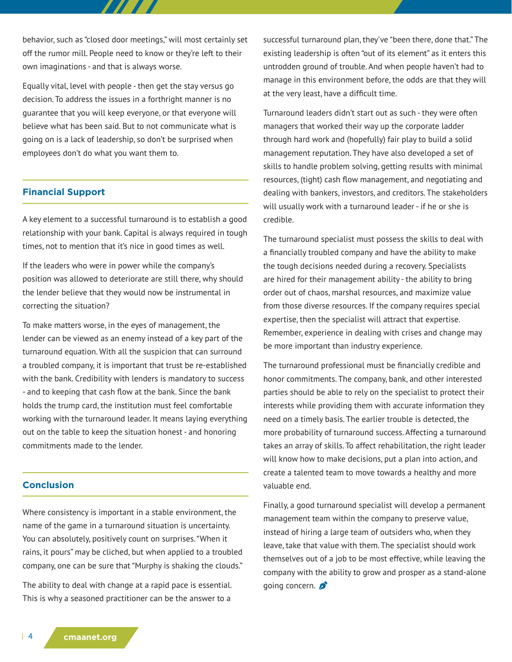behavior, such as "closed door meetings," will most certainly set off the rumor mill. People need to know or they're left to their own imaginations - and that is always worse.

77 T T

Equally vital, level with people - then get the stay versus go decision. To address the issues in a forthright manner is no guarantee that you will keep everyone, or that everyone will believe what has been said. But to not communicate what is going on is a lack of leadership, so don't be surprised when employees don't do what you want them to.

# **Financial Support**

A key element to a successful turnaround is to establish a good relationship with your bank. Capital is always required in tough times, not to mention that it's nice in good times as well.

If the leaders who were in power while the company's position was allowed to deteriorate are still there, why should the lender believe that they would now be instrumental in correcting the situation?

To make matters worse, in the eyes of management, the lender can be viewed as an enemy instead of a key part of the turnaround equation. With all the suspicion that can surround a troubled company, it is important that trust be re-established with the bank. Credibility with lenders is mandatory to success - and to keeping that cash flow at the bank. Since the bank holds the trump card, the institution must feel comfortable working with the turnaround leader. It means laying everything out on the table to keep the situation honest - and honoring commitments made to the lender.

## **Conclusion**

Where consistency is important in a stable environment, the name of the game in a turnaround situation is uncertainty. You can absolutely, positively count on surprises. "When it rains, it pours" may be cliched, but when applied to a troubled company, one can be sure that "Murphy is shaking the clouds."

The ability to deal with change at a rapid pace is essential. This is why a seasoned practitioner can be the answer to a

successful turnaround plan, they've "been there, done that." The existing leadership is often "out of its element" as it enters this untrodden ground of trouble. And when people haven't had to manage in this environment before, the odds are that they will at the very least, have a difficult time.

Turnaround leaders didn't start out as such - they were often managers that worked their way up the corporate ladder through hard work and (hopefully) fair play to build a solid management reputation. They have also developed a set of skills to handle problem solving, getting results with minimal resources, (tight) cash flow management, and negotiating and dealing with bankers, investors, and creditors. The stakeholders will usually work with a turnaround leader - if he or she is credible.

The turnaround specialist must possess the skills to deal with a financially troubled company and have the ability to make the tough decisions needed during a recovery. Specialists are hired for their management ability - the ability to bring order out of chaos, marshal resources, and maximize value from those diverse resources. If the company requires special expertise, then the specialist will attract that expertise. Remember, experience in dealing with crises and change may be more important than industry experience.

The turnaround professional must be financially credible and honor commitments. The company, bank, and other interested parties should be able to rely on the specialist to protect their interests while providing them with accurate information they need on a timely basis. The earlier trouble is detected, the more probability of turnaround success. Affecting a turnaround takes an array of skills. To affect rehabilitation, the right leader will know how to make decisions, put a plan into action, and create a talented team to move towards a healthy and more valuable end.

Finally, a good turnaround specialist will develop a permanent management team within the company to preserve value, instead of hiring a large team of outsiders who, when they leave, take that value with them. The specialist should work themselves out of a job to be most effective, while leaving the company with the ability to grow and prosper as a stand-alone going concern.